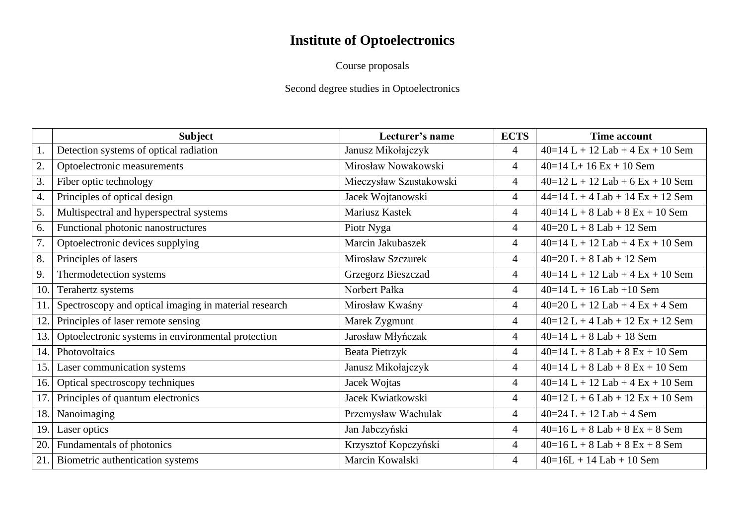# **Institute of Optoelectronics**

Course proposals

## Second degree studies in Optoelectronics

|     | <b>Subject</b>                                        | Lecturer's name         | <b>ECTS</b>    | <b>Time account</b>                |
|-----|-------------------------------------------------------|-------------------------|----------------|------------------------------------|
|     | Detection systems of optical radiation                | Janusz Mikołajczyk      | $\overline{4}$ | $40=14$ L + 12 Lab + 4 Ex + 10 Sem |
| 2.  | Optoelectronic measurements                           | Mirosław Nowakowski     | $\overline{4}$ | $40=14$ L+ 16 Ex + 10 Sem          |
| 3.  | Fiber optic technology                                | Mieczysław Szustakowski | $\overline{4}$ | $40=12$ L + 12 Lab + 6 Ex + 10 Sem |
| 4.  | Principles of optical design                          | Jacek Wojtanowski       | $\overline{4}$ | $44=14$ L + 4 Lab + 14 Ex + 12 Sem |
| 5.  | Multispectral and hyperspectral systems               | Mariusz Kastek          | $\overline{4}$ | $40=14$ L + 8 Lab + 8 Ex + 10 Sem  |
| 6.  | Functional photonic nanostructures                    | Piotr Nyga              | $\overline{4}$ | $40=20 L + 8 Lab + 12 Sem$         |
| 7.  | Optoelectronic devices supplying                      | Marcin Jakubaszek       | $\overline{4}$ | $40=14$ L + 12 Lab + 4 Ex + 10 Sem |
| 8.  | Principles of lasers                                  | Mirosław Szczurek       | $\overline{4}$ | $40=20 L + 8 Lab + 12 Sem$         |
| 9.  | Thermodetection systems                               | Grzegorz Bieszczad      | $\overline{4}$ | $40=14$ L + 12 Lab + 4 Ex + 10 Sem |
| 10. | Terahertz systems                                     | Norbert Pałka           | $\overline{4}$ | $40=14$ L + 16 Lab + 10 Sem        |
| 11. | Spectroscopy and optical imaging in material research | Mirosław Kwaśny         | $\overline{4}$ | $40=20 L + 12 Lab + 4 Ex + 4 Sem$  |
| 12. | Principles of laser remote sensing                    | Marek Zygmunt           | $\overline{4}$ | $40=12$ L + 4 Lab + 12 Ex + 12 Sem |
| 13. | Optoelectronic systems in environmental protection    | Jarosław Młyńczak       | $\overline{4}$ | $40=14$ L + 8 Lab + 18 Sem         |
| 14. | Photovoltaics                                         | <b>Beata Pietrzyk</b>   | $\overline{4}$ | $40=14$ L + 8 Lab + 8 Ex + 10 Sem  |
| 15. | Laser communication systems                           | Janusz Mikołajczyk      | $\overline{4}$ | $40=14$ L + 8 Lab + 8 Ex + 10 Sem  |
| 16. | Optical spectroscopy techniques                       | Jacek Wojtas            | $\overline{4}$ | $40=14$ L + 12 Lab + 4 Ex + 10 Sem |
| 17. | Principles of quantum electronics                     | Jacek Kwiatkowski       | $\overline{4}$ | $40=12$ L + 6 Lab + 12 Ex + 10 Sem |
| 18. | Nanoimaging                                           | Przemysław Wachulak     | $\overline{4}$ | $40=24 L + 12 Lab + 4 Sem$         |
| 19. | Laser optics                                          | Jan Jabczyński          | $\overline{4}$ | $40=16 L + 8 Lab + 8 Ex + 8 Sem$   |
| 20. | Fundamentals of photonics                             | Krzysztof Kopczyński    | $\overline{4}$ | $40=16 L + 8 Lab + 8 Ex + 8 Sem$   |
| 21. | Biometric authentication systems                      | Marcin Kowalski         | $\overline{4}$ | $40=16L + 14$ Lab + 10 Sem         |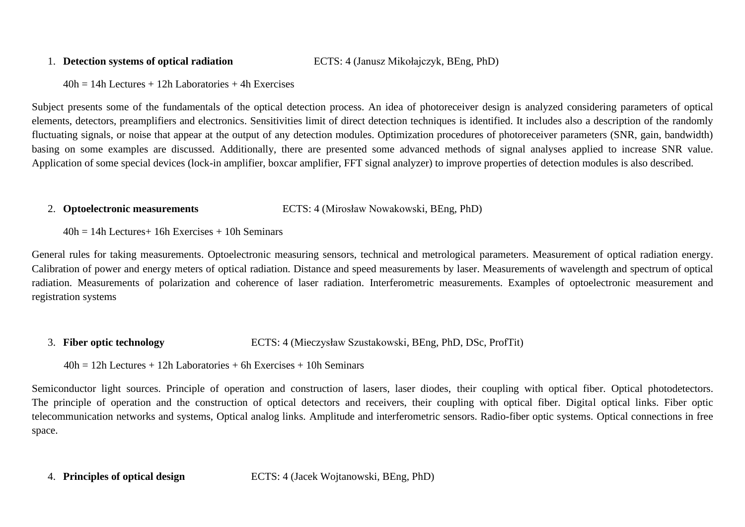#### 1. **Detection systems of optical radiation** ECTS: 4 (Janusz Mikołajczyk, BEng, PhD)

 $40h = 14h$  Lectures + 12h Laboratories + 4h Exercises

Subject presents some of the fundamentals of the optical detection process. An idea of photoreceiver design is analyzed considering parameters of optical elements, detectors, preamplifiers and electronics. Sensitivities limit of direct detection techniques is identified. It includes also a description of the randomly fluctuating signals, or noise that appear at the output of any detection modules. Optimization procedures of photoreceiver parameters (SNR, gain, bandwidth) basing on some examples are discussed. Additionally, there are presented some advanced methods of signal analyses applied to increase SNR value. Application of some special devices (lock-in amplifier, boxcar amplifier, FFT signal analyzer) to improve properties of detection modules is also described.

### 2. **Optoelectronic measurements** ECTS: 4 (Mirosław Nowakowski, BEng, PhD)

 $40h = 14h$  Lectures + 16h Exercises + 10h Seminars

General rules for taking measurements. Optoelectronic measuring sensors, technical and metrological parameters. Measurement of optical radiation energy. Calibration of power and energy meters of optical radiation. Distance and speed measurements by laser. Measurements of wavelength and spectrum of optical radiation. Measurements of polarization and coherence of laser radiation. Interferometric measurements. Examples of optoelectronic measurement and registration systems

3. **Fiber optic technology** ECTS: 4 (Mieczysław Szustakowski, BEng, PhD, DSc, ProfTit)

 $40h = 12h$  Lectures + 12h Laboratories + 6h Exercises + 10h Seminars

Semiconductor light sources. Principle of operation and construction of lasers, laser diodes, their coupling with optical fiber. Optical photodetectors. The principle of operation and the construction of optical detectors and receivers, their coupling with optical fiber. Digital optical links. Fiber optic telecommunication networks and systems, Optical analog links. Amplitude and interferometric sensors. Radio-fiber optic systems. Optical connections in free space.

4. **Principles of optical design** ECTS: 4 (Jacek Wojtanowski, BEng, PhD)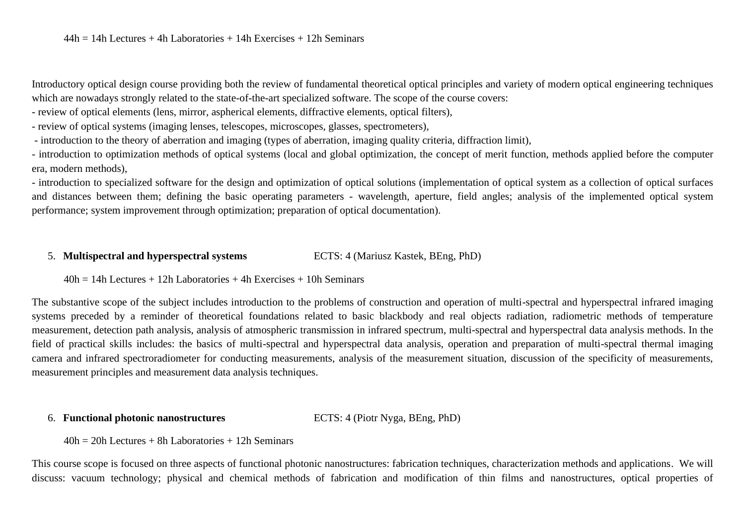Introductory optical design course providing both the review of fundamental theoretical optical principles and variety of modern optical engineering techniques which are nowadays strongly related to the state-of-the-art specialized software. The scope of the course covers:

- review of optical elements (lens, mirror, aspherical elements, diffractive elements, optical filters),

- review of optical systems (imaging lenses, telescopes, microscopes, glasses, spectrometers),

- introduction to the theory of aberration and imaging (types of aberration, imaging quality criteria, diffraction limit),

- introduction to optimization methods of optical systems (local and global optimization, the concept of merit function, methods applied before the computer era, modern methods),

- introduction to specialized software for the design and optimization of optical solutions (implementation of optical system as a collection of optical surfaces and distances between them; defining the basic operating parameters - wavelength, aperture, field angles; analysis of the implemented optical system performance; system improvement through optimization; preparation of optical documentation).

### 5. **Multispectral and hyperspectral systems** ECTS: 4 (Mariusz Kastek, BEng, PhD)

 $40h = 14h$  Lectures + 12h Laboratories + 4h Exercises + 10h Seminars

The substantive scope of the subject includes introduction to the problems of construction and operation of multi-spectral and hyperspectral infrared imaging systems preceded by a reminder of theoretical foundations related to basic blackbody and real objects radiation, radiometric methods of temperature measurement, detection path analysis, analysis of atmospheric transmission in infrared spectrum, multi-spectral and hyperspectral data analysis methods. In the field of practical skills includes: the basics of multi-spectral and hyperspectral data analysis, operation and preparation of multi-spectral thermal imaging camera and infrared spectroradiometer for conducting measurements, analysis of the measurement situation, discussion of the specificity of measurements, measurement principles and measurement data analysis techniques.

### 6. **Functional photonic nanostructures** ECTS: 4 (Piotr Nyga, BEng, PhD)

 $40h = 20h$  Lectures + 8h Laboratories + 12h Seminars

This course scope is focused on three aspects of functional photonic nanostructures: fabrication techniques, characterization methods and applications. We will discuss: vacuum technology; physical and chemical methods of fabrication and modification of thin films and nanostructures, optical properties of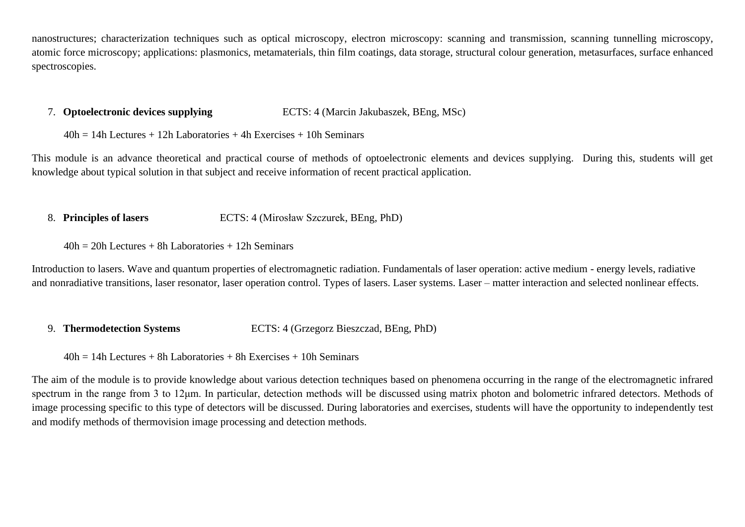nanostructures; characterization techniques such as optical microscopy, electron microscopy: scanning and transmission, scanning tunnelling microscopy, atomic force microscopy; applications: plasmonics, metamaterials, thin film coatings, data storage, structural colour generation, metasurfaces, surface enhanced spectroscopies.

#### 7. **Optoelectronic devices supplying** ECTS: 4 (Marcin Jakubaszek, BEng, MSc)

 $40h = 14h$  Lectures + 12h Laboratories + 4h Exercises + 10h Seminars

This module is an advance theoretical and practical course of methods of optoelectronic elements and devices supplying. During this, students will get knowledge about typical solution in that subject and receive information of recent practical application.

- 8. **Principles of lasers** ECTS: 4 (Mirosław Szczurek, BEng, PhD)
	- $40h = 20h$  Lectures + 8h Laboratories + 12h Seminars

Introduction to lasers. Wave and quantum properties of electromagnetic radiation. Fundamentals of laser operation: active medium - energy levels, radiative and nonradiative transitions, laser resonator, laser operation control. Types of lasers, Laser systems, Laser – matter interaction and selected nonlinear effects.

- 9. **Thermodetection Systems** ECTS: 4 (Grzegorz Bieszczad, BEng, PhD)
	- $40h = 14h$  Lectures + 8h Laboratories + 8h Exercises + 10h Seminars

The aim of the module is to provide knowledge about various detection techniques based on phenomena occurring in the range of the electromagnetic infrared spectrum in the range from 3 to 12μm. In particular, detection methods will be discussed using matrix photon and bolometric infrared detectors. Methods of image processing specific to this type of detectors will be discussed. During laboratories and exercises, students will have the opportunity to independently test and modify methods of thermovision image processing and detection methods.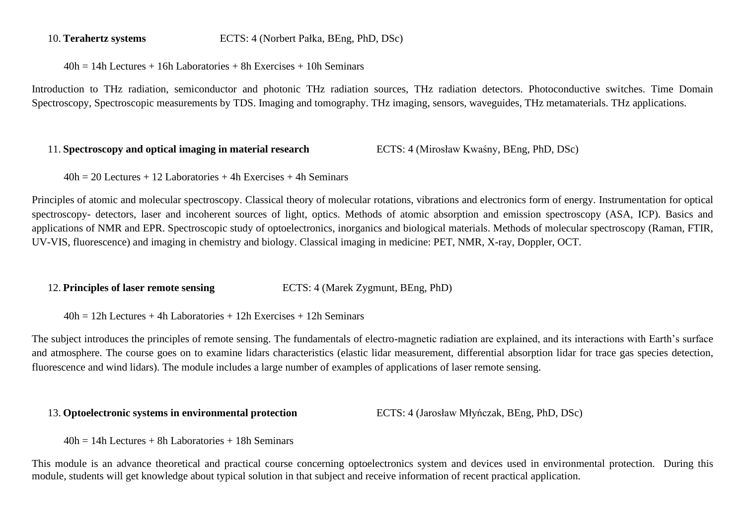10. **Terahertz systems** ECTS: 4 (Norbert Pałka, BEng, PhD, DSc)

 $40h = 14h$  Lectures + 16h Laboratories + 8h Exercises + 10h Seminars

Introduction to THz radiation, semiconductor and photonic THz radiation sources, THz radiation detectors. Photoconductive switches. Time Domain Spectroscopy, Spectroscopic measurements by TDS. Imaging and tomography. THz imaging, sensors, waveguides, THz metamaterials. THz applications.

#### 11. **Spectroscopy and optical imaging in material research** ECTS: 4 (Mirosław Kwaśny, BEng, PhD, DSc)

 $40h = 20$  Lectures + 12 Laboratories + 4h Exercises + 4h Seminars

Principles of atomic and molecular spectroscopy. Classical theory of molecular rotations, vibrations and electronics form of energy. Instrumentation for optical spectroscopy- detectors, laser and incoherent sources of light, optics. Methods of atomic absorption and emission spectroscopy (ASA, ICP). Basics and applications of NMR and EPR. Spectroscopic study of optoelectronics, inorganics and biological materials. Methods of molecular spectroscopy (Raman, FTIR, UV-VIS, fluorescence) and imaging in chemistry and biology. Classical imaging in medicine: PET, NMR, X-ray, Doppler, OCT.

12. **Principles of laser remote sensing** ECTS: 4 (Marek Zygmunt, BEng, PhD)

 $40h = 12h$  Lectures + 4h Laboratories + 12h Exercises + 12h Seminars

The subject introduces the principles of remote sensing. The fundamentals of electro-magnetic radiation are explained, and its interactions with Earth's surface and atmosphere. The course goes on to examine lidars characteristics (elastic lidar measurement, differential absorption lidar for trace gas species detection, fluorescence and wind lidars). The module includes a large number of examples of applications of laser remote sensing.

#### 13. **Optoelectronic systems in environmental protection** ECTS: 4 (Jarosław Młyńczak, BEng, PhD, DSc)

 $40h = 14h$  Lectures + 8h Laboratories + 18h Seminars

This module is an advance theoretical and practical course concerning optoelectronics system and devices used in environmental protection. During this module, students will get knowledge about typical solution in that subject and receive information of recent practical application.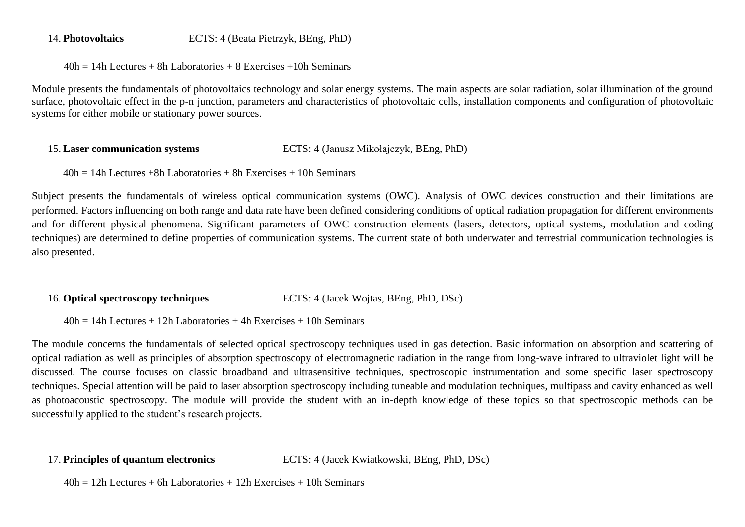#### 14. **Photovoltaics** ECTS: 4 (Beata Pietrzyk, BEng, PhD)

 $40h = 14h$  Lectures + 8h Laboratories + 8 Exercises + 10h Seminars

Module presents the fundamentals of photovoltaics technology and solar energy systems. The main aspects are solar radiation, solar illumination of the ground surface, photovoltaic effect in the p-n junction, parameters and characteristics of photovoltaic cells, installation components and configuration of photovoltaic systems for either mobile or stationary power sources.

#### 15. **Laser communication systems** ECTS: 4 (Janusz Mikołajczyk, BEng, PhD)

 $40h = 14h$  Lectures +8h Laboratories + 8h Exercises + 10h Seminars

Subject presents the fundamentals of wireless optical communication systems (OWC). Analysis of OWC devices construction and their limitations are performed. Factors influencing on both range and data rate have been defined considering conditions of optical radiation propagation for different environments and for different physical phenomena. Significant parameters of OWC construction elements (lasers, detectors, optical systems, modulation and coding techniques) are determined to define properties of communication systems. The current state of both underwater and terrestrial communication technologies is also presented.

#### 16. **Optical spectroscopy techniques** ECTS: 4 (Jacek Wojtas, BEng, PhD, DSc)

 $40h = 14h$  Lectures + 12h Laboratories + 4h Exercises + 10h Seminars

The module concerns the fundamentals of selected optical spectroscopy techniques used in gas detection. Basic information on absorption and scattering of optical radiation as well as principles of absorption spectroscopy of electromagnetic radiation in the range from long-wave infrared to ultraviolet light will be discussed. The course focuses on classic broadband and ultrasensitive techniques, spectroscopic instrumentation and some specific laser spectroscopy techniques. Special attention will be paid to laser absorption spectroscopy including tuneable and modulation techniques, multipass and cavity enhanced as well as photoacoustic spectroscopy. The module will provide the student with an in-depth knowledge of these topics so that spectroscopic methods can be successfully applied to the student's research projects.

17. **Principles of quantum electronics** ECTS: 4 (Jacek Kwiatkowski, BEng, PhD, DSc)

 $40h = 12h$  Lectures + 6h Laboratories + 12h Exercises + 10h Seminars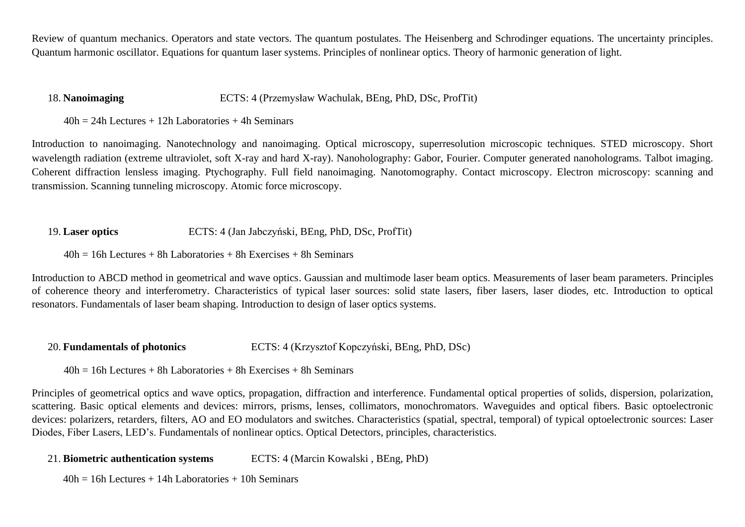Review of quantum mechanics. Operators and state vectors. The quantum postulates. The Heisenberg and Schrodinger equations. The uncertainty principles. Quantum harmonic oscillator. Equations for quantum laser systems. Principles of nonlinear optics. Theory of harmonic generation of light.

#### 18. **Nanoimaging** ECTS: 4 (Przemysław Wachulak, BEng, PhD, DSc, ProfTit)

 $40h = 24h$  Lectures + 12h Laboratories + 4h Seminars

Introduction to nanoimaging. Nanotechnology and nanoimaging. Optical microscopy, superresolution microscopic techniques. STED microscopy. Short wavelength radiation (extreme ultraviolet, soft X-ray and hard X-ray). Nanoholography: Gabor, Fourier. Computer generated nanoholograms. Talbot imaging. Coherent diffraction lensless imaging. Ptychography. Full field nanoimaging. Nanotomography. Contact microscopy. Electron microscopy: scanning and transmission. Scanning tunneling microscopy. Atomic force microscopy.

#### 19. **Laser optics** ECTS: 4 (Jan Jabczyński, BEng, PhD, DSc, ProfTit)

 $40h = 16h$  Lectures + 8h Laboratories + 8h Exercises + 8h Seminars

Introduction to ABCD method in geometrical and wave optics. Gaussian and multimode laser beam optics. Measurements of laser beam parameters. Principles of coherence theory and interferometry. Characteristics of typical laser sources: solid state lasers, fiber lasers, laser diodes, etc. Introduction to optical resonators. Fundamentals of laser beam shaping. Introduction to design of laser optics systems.

20. **Fundamentals of photonics** ECTS: 4 (Krzysztof Kopczyński, BEng, PhD, DSc)

 $40h = 16h$  Lectures + 8h Laboratories + 8h Exercises + 8h Seminars

Principles of geometrical optics and wave optics, propagation, diffraction and interference. Fundamental optical properties of solids, dispersion, polarization, scattering. Basic optical elements and devices: mirrors, prisms, lenses, collimators, monochromators. Waveguides and optical fibers. Basic optoelectronic devices: polarizers, retarders, filters, AO and EO modulators and switches. Characteristics (spatial, spectral, temporal) of typical optoelectronic sources: Laser Diodes, Fiber Lasers, LED's. Fundamentals of nonlinear optics. Optical Detectors, principles, characteristics.

21. **Biometric authentication systems** ECTS: 4 (Marcin Kowalski , BEng, PhD)

 $40h = 16h$  Lectures + 14h Laboratories + 10h Seminars